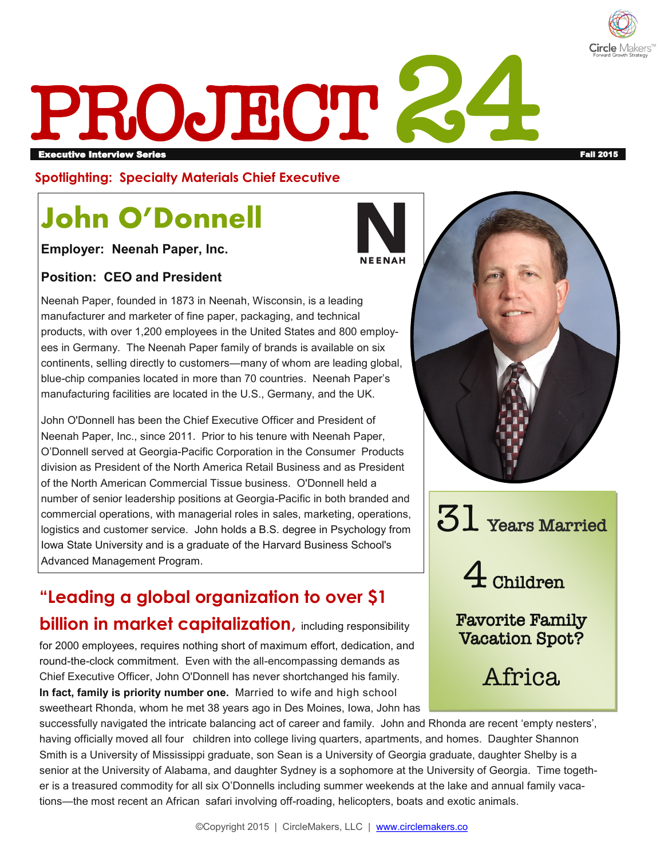

# PROJECT Executive Interview Series Fall 2015

**Spotlighting: Specialty Materials Chief Executive** 

## **John O'Donnell**

**Employer: Neenah Paper, Inc.** 

#### **Position: CEO and President**

Neenah Paper, founded in 1873 in Neenah, Wisconsin, is a leading manufacturer and marketer of fine paper, packaging, and technical products, with over 1,200 employees in the United States and 800 employees in Germany. The Neenah Paper family of brands is available on six continents, selling directly to customers—many of whom are leading global, blue-chip companies located in more than 70 countries. Neenah Paper's manufacturing facilities are located in the U.S., Germany, and the UK.

John O'Donnell has been the Chief Executive Officer and President of Neenah Paper, Inc., since 2011. Prior to his tenure with Neenah Paper, O'Donnell served at Georgia-Pacific Corporation in the Consumer Products division as President of the North America Retail Business and as President of the North American Commercial Tissue business. O'Donnell held a number of senior leadership positions at Georgia-Pacific in both branded and commercial operations, with managerial roles in sales, marketing, operations, logistics and customer service. John holds a B.S. degree in Psychology from Iowa State University and is a graduate of the Harvard Business School's Advanced Management Program.

### **"Leading a global organization to over \$1 billion in market capitalization, including responsibility**

for 2000 employees, requires nothing short of maximum effort, dedication, and round-the-clock commitment. Even with the all-encompassing demands as Chief Executive Officer, John O'Donnell has never shortchanged his family. **In fact, family is priority number one.** Married to wife and high school sweetheart Rhonda, whom he met 38 years ago in Des Moines, Iowa, John has





 $51$  Years Married

4 Children

Favorite Family Vacation Spot?

Africa

successfully navigated the intricate balancing act of career and family. John and Rhonda are recent 'empty nesters', having officially moved all four children into college living quarters, apartments, and homes. Daughter Shannon Smith is a University of Mississippi graduate, son Sean is a University of Georgia graduate, daughter Shelby is a senior at the University of Alabama, and daughter Sydney is a sophomore at the University of Georgia. Time together is a treasured commodity for all six O'Donnells including summer weekends at the lake and annual family vacations—the most recent an African safari involving off-roading, helicopters, boats and exotic animals.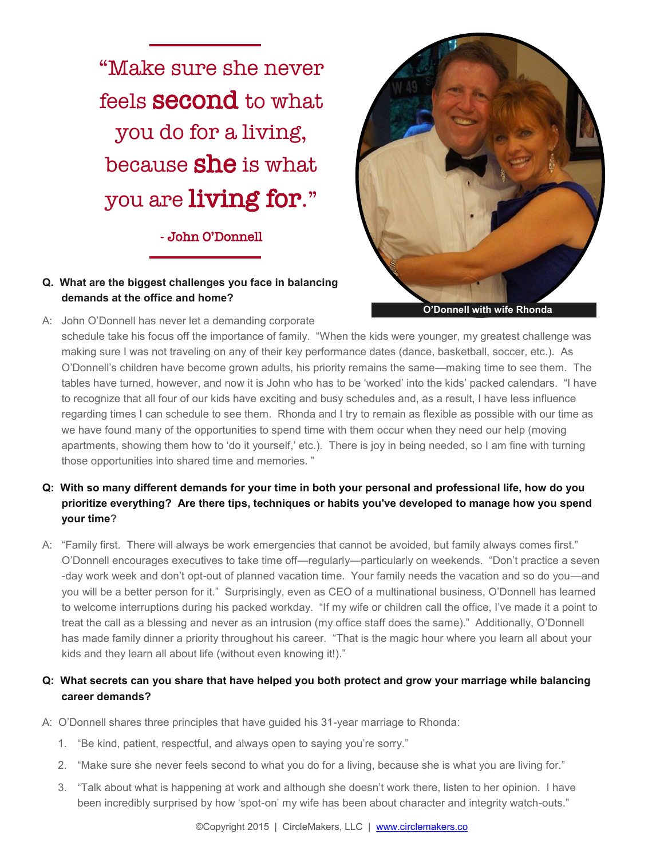"Make sure she never feels second to what you do for a living, because **she** is what you are living for."

#### - John O'Donnell

#### **Q. What are the biggest challenges you face in balancing demands at the office and home?**

A: John O'Donnell has never let a demanding corporate



**O'Donnell with wife Rhonda**

schedule take his focus off the importance of family. "When the kids were younger, my greatest challenge was making sure I was not traveling on any of their key performance dates (dance, basketball, soccer, etc.). As O'Donnell's children have become grown adults, his priority remains the same—making time to see them. The tables have turned, however, and now it is John who has to be 'worked' into the kids' packed calendars. "I have to recognize that all four of our kids have exciting and busy schedules and, as a result, I have less influence regarding times I can schedule to see them. Rhonda and I try to remain as flexible as possible with our time as we have found many of the opportunities to spend time with them occur when they need our help (moving apartments, showing them how to 'do it yourself,' etc.). There is joy in being needed, so I am fine with turning those opportunities into shared time and memories. "

- **Q: With so many different demands for your time in both your personal and professional life, how do you prioritize everything? Are there tips, techniques or habits you've developed to manage how you spend your time?**
- A: "Family first. There will always be work emergencies that cannot be avoided, but family always comes first." O'Donnell encourages executives to take time off—regularly—particularly on weekends. "Don't practice a seven -day work week and don't opt-out of planned vacation time. Your family needs the vacation and so do you—and you will be a better person for it." Surprisingly, even as CEO of a multinational business, O'Donnell has learned to welcome interruptions during his packed workday. "If my wife or children call the office, I've made it a point to treat the call as a blessing and never as an intrusion (my office staff does the same)." Additionally, O'Donnell has made family dinner a priority throughout his career. "That is the magic hour where you learn all about your kids and they learn all about life (without even knowing it!)."

#### **Q: What secrets can you share that have helped you both protect and grow your marriage while balancing career demands?**

- A: O'Donnell shares three principles that have guided his 31-year marriage to Rhonda:
	- 1. "Be kind, patient, respectful, and always open to saying you're sorry."
	- 2. "Make sure she never feels second to what you do for a living, because she is what you are living for."
	- 3. "Talk about what is happening at work and although she doesn't work there, listen to her opinion. I have been incredibly surprised by how 'spot-on' my wife has been about character and integrity watch-outs."